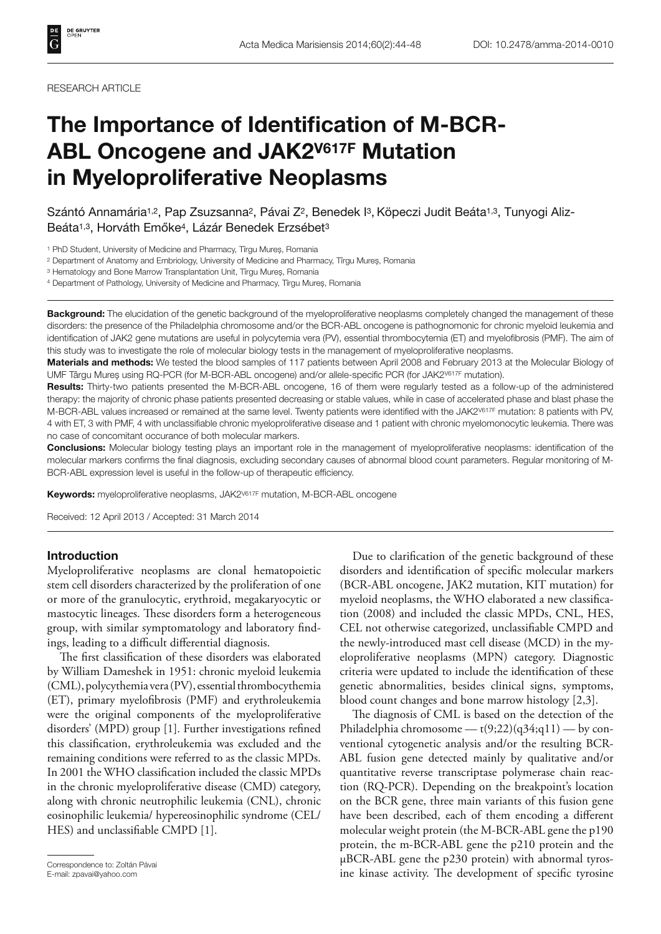# **The Importance of Identification of M-BCR-ABL Oncogene and JAK2V617F Mutation in Myeloproliferative Neoplasms**

Szántó Annamária<sup>1,2</sup>, Pap Zsuzsanna<sup>2</sup>, Pávai Z<sup>2</sup>, Benedek <sup>[3</sup>, Köpeczi Judit Beáta<sup>1,3</sup>, Tunyogi Aliz-Beáta1,3, Horváth Emőke4, Lázár Benedek Erzsébet3

1 PhD Student, University of Medicine and Pharmacy, Tîrgu Mureș, Romania

2 Department of Anatomy and Embriology, University of Medicine and Pharmacy, Tîrgu Mureș, Romania

3 Hematology and Bone Marrow Transplantation Unit, Tîrgu Mureș, Romania

4 Department of Pathology, University of Medicine and Pharmacy, Tîrgu Mureș, Romania

**Background:** The elucidation of the genetic background of the myeloproliferative neoplasms completely changed the management of these disorders: the presence of the Philadelphia chromosome and/or the BCR-ABL oncogene is pathognomonic for chronic myeloid leukemia and identification of JAK2 gene mutations are useful in polycytemia vera (PV), essential thrombocytemia (ET) and myelofibrosis (PMF). The aim of this study was to investigate the role of molecular biology tests in the management of myeloproliferative neoplasms.

**Materials and methods:** We tested the blood samples of 117 patients between April 2008 and February 2013 at the Molecular Biology of UMF Târgu Mureș using RQ-PCR (for M-BCR-ABL oncogene) and/or allele-specific PCR (for JAK2V617F mutation).

**Results:** Thirty-two patients presented the M-BCR-ABL oncogene, 16 of them were regularly tested as a follow-up of the administered therapy: the majority of chronic phase patients presented decreasing or stable values, while in case of accelerated phase and blast phase the M-BCR-ABL values increased or remained at the same level. Twenty patients were identified with the JAK2V617F mutation: 8 patients with PV, 4 with ET, 3 with PMF, 4 with unclassifiable chronic myeloproliferative disease and 1 patient with chronic myelomonocytic leukemia. There was no case of concomitant occurance of both molecular markers.

**Conclusions:** Molecular biology testing plays an important role in the management of myeloproliferative neoplasms: identification of the molecular markers confirms the final diagnosis, excluding secondary causes of abnormal blood count parameters. Regular monitoring of M-BCR-ABL expression level is useful in the follow-up of therapeutic efficiency.

**Keywords:** myeloproliferative neoplasms, JAK2<sup>V617F</sup> mutation, M-BCR-ABL oncogene

Received: 12 April 2013 / Accepted: 31 March 2014

## **Introduction**

Myeloproliferative neoplasms are clonal hematopoietic stem cell disorders characterized by the proliferation of one or more of the granulocytic, erythroid, megakaryocytic or mastocytic lineages. These disorders form a heterogeneous group, with similar symptomatology and laboratory findings, leading to a difficult differential diagnosis.

The first classification of these disorders was elaborated by William Dameshek in 1951: chronic myeloid leukemia (CML), polycythemia vera (PV), essential thrombocythemia (ET), primary myelofibrosis (PMF) and erythroleukemia were the original components of the myeloproliferative disorders' (MPD) group [1]. Further investigations refined this classification, erythroleukemia was excluded and the remaining conditions were referred to as the classic MPDs. In 2001 the WHO classification included the classic MPDs in the chronic myeloproliferative disease (CMD) category, along with chronic neutrophilic leukemia (CNL), chronic eosinophilic leukemia/ hypereosinophilic syndrome (CEL/ HES) and unclassifiable CMPD [1].

Correspondence to: Zoltán Pávai E-mail: zpavai@yahoo.com

Due to clarification of the genetic background of these disorders and identification of specific molecular markers (BCR-ABL oncogene, JAK2 mutation, KIT mutation) for myeloid neoplasms, the WHO elaborated a new classification (2008) and included the classic MPDs, CNL, HES, CEL not otherwise categorized, unclassifiable CMPD and the newly-introduced mast cell disease (MCD) in the myeloproliferative neoplasms (MPN) category. Diagnostic criteria were updated to include the identification of these genetic abnormalities, besides clinical signs, symptoms, blood count changes and bone marrow histology [2,3].

The diagnosis of CML is based on the detection of the Philadelphia chromosome —  $t(9;22)(q34;q11)$  — by conventional cytogenetic analysis and/or the resulting BCR-ABL fusion gene detected mainly by qualitative and/or quantitative reverse transcriptase polymerase chain reaction (RQ-PCR). Depending on the breakpoint's location on the BCR gene, three main variants of this fusion gene have been described, each of them encoding a different molecular weight protein (the M-BCR-ABL gene the p190 protein, the m-BCR-ABL gene the p210 protein and the μBCR-ABL gene the p230 protein) with abnormal tyrosine kinase activity. The development of specific tyrosine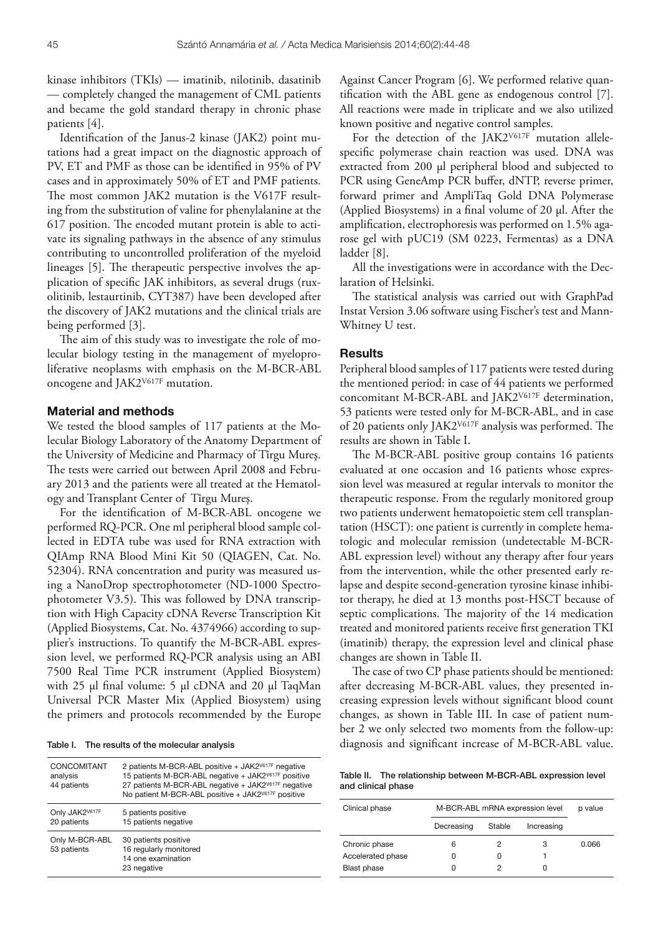kinase inhibitors (TKIs) — imatinib, nilotinib, dasatinib — completely changed the management of CML patients and became the gold standard therapy in chronic phase patients [4].

Identification of the Janus-2 kinase (JAK2) point mutations had a great impact on the diagnostic approach of PV, ET and PMF as those can be identified in 95% of PV cases and in approximately 50% of ET and PMF patients. The most common JAK2 mutation is the V617F resulting from the substitution of valine for phenylalanine at the 617 position. The encoded mutant protein is able to activate its signaling pathways in the absence of any stimulus contributing to uncontrolled proliferation of the myeloid lineages [5]. The therapeutic perspective involves the application of specific JAK inhibitors, as several drugs (ruxolitinib, lestaurtinib, CYT387) have been developed after the discovery of JAK2 mutations and the clinical trials are being performed [3].

The aim of this study was to investigate the role of molecular biology testing in the management of myeloproliferative neoplasms with emphasis on the M-BCR-ABL oncogene and JAK2V617F mutation.

## **Material and methods**

We tested the blood samples of 117 patients at the Molecular Biology Laboratory of the Anatomy Department of the University of Medicine and Pharmacy of Tîrgu Mureş. The tests were carried out between April 2008 and February 2013 and the patients were all treated at the Hematology and Transplant Center of Tîrgu Mureş.

For the identification of M-BCR-ABL oncogene we performed RQ-PCR. One ml peripheral blood sample collected in EDTA tube was used for RNA extraction with QIAmp RNA Blood Mini Kit 50 (QIAGEN, Cat. No. 52304). RNA concentration and purity was measured using a NanoDrop spectrophotometer (ND-1000 Spectrophotometer V3.5). This was followed by DNA transcription with High Capacity cDNA Reverse Transcription Kit (Applied Biosystems, Cat. No. 4374966) according to supplier's instructions. To quantify the M-BCR-ABL expression level, we performed RQ-PCR analysis using an ABI 7500 Real Time PCR instrument (Applied Biosystem) with 25 μl final volume: 5 μl cDNA and 20 μl TaqMan Universal PCR Master Mix (Applied Biosystem) using the primers and protocols recommended by the Europe

Table I. The results of the molecular analysis

| CONCOMITANT<br>analysis<br>44 patients | 2 patients M-BCR-ABL positive + JAK2 <sup>V617F</sup> negative<br>15 patients M-BCR-ABL negative + JAK2V617F positive<br>27 patients M-BCR-ABL negative + JAK2 <sup>V617F</sup> negative<br>No patient M-BCR-ABL positive + JAK2V617F positive |
|----------------------------------------|------------------------------------------------------------------------------------------------------------------------------------------------------------------------------------------------------------------------------------------------|
| Only JAK2V617F<br>20 patients          | 5 patients positive<br>15 patients negative                                                                                                                                                                                                    |
| Only M-BCR-ABL<br>53 patients          | 30 patients positive<br>16 regularly monitored<br>14 one examination<br>23 negative                                                                                                                                                            |

Against Cancer Program [6]. We performed relative quantification with the ABL gene as endogenous control [7]. All reactions were made in triplicate and we also utilized known positive and negative control samples.

For the detection of the JAK2V617F mutation allelespecific polymerase chain reaction was used. DNA was extracted from 200 μl peripheral blood and subjected to PCR using GeneAmp PCR buffer, dNTP, reverse primer, forward primer and AmpliTaq Gold DNA Polymerase (Applied Biosystems) in a final volume of 20  $\mu$ l. After the amplification, electrophoresis was performed on 1.5% agarose gel with pUC19 (SM 0223, Fermentas) as a DNA ladder [8].

All the investigations were in accordance with the Declaration of Helsinki.

The statistical analysis was carried out with GraphPad Instat Version 3.06 software using Fischer's test and Mann-Whitney U test.

#### **Results**

Peripheral blood samples of 117 patients were tested during the mentioned period: in case of 44 patients we performed concomitant M-BCR-ABL and JAK2V617F determination, 53 patients were tested only for M-BCR-ABL, and in case of 20 patients only JAK2 $V^{617F}$  analysis was performed. The results are shown in Table I.

The M-BCR-ABL positive group contains 16 patients evaluated at one occasion and 16 patients whose expression level was measured at regular intervals to monitor the therapeutic response. From the regularly monitored group two patients underwent hematopoietic stem cell transplantation (HSCT): one patient is currently in complete hematologic and molecular remission (undetectable M-BCR-ABL expression level) without any therapy after four years from the intervention, while the other presented early relapse and despite second-generation tyrosine kinase inhibitor therapy, he died at 13 months post-HSCT because of septic complications. The majority of the 14 medication treated and monitored patients receive first generation TKI (imatinib) therapy, the expression level and clinical phase changes are shown in Table II.

The case of two CP phase patients should be mentioned: after decreasing M-BCR-ABL values, they presented increasing expression levels without significant blood count changes, as shown in Table III. In case of patient number 2 we only selected two moments from the follow-up: diagnosis and significant increase of M-BCR-ABL value.

Table II. The relationship between M-BCR-ABL expression level and clinical phase

| Clinical phase     | M-BCR-ABL mRNA expression level | p value |            |       |
|--------------------|---------------------------------|---------|------------|-------|
|                    | Decreasing                      | Stable  | Increasing |       |
| Chronic phase      | 6                               |         | 3          | 0.066 |
| Accelerated phase  |                                 |         |            |       |
| <b>Blast phase</b> |                                 |         | 0          |       |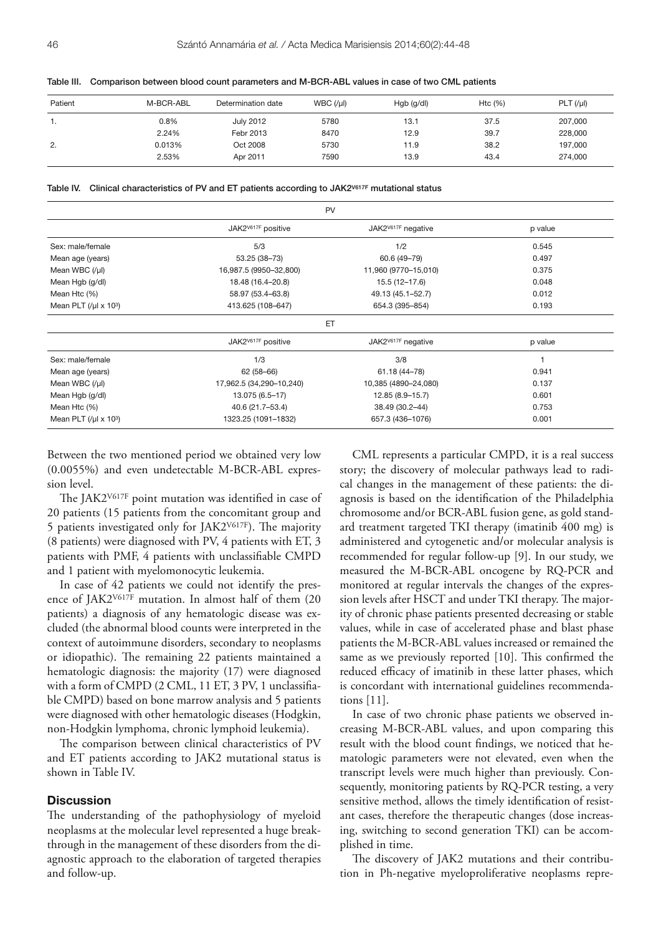| Patient | M-BCR-ABL | Determination date | WBC (l) | $Hgb$ (g/dl) | Htc $(% )$ | PLT (lµ) |
|---------|-----------|--------------------|---------|--------------|------------|----------|
|         | 0.8%      | <b>July 2012</b>   | 5780    | 13.1         | 37.5       | 207,000  |
|         | 2.24%     | Febr 2013          | 8470    | 12.9         | 39.7       | 228,000  |
| 2.      | 0.013%    | Oct 2008           | 5730    | 11.9         | 38.2       | 197,000  |
|         | 2.53%     | Apr 2011           | 7590    | 13.9         | 43.4       | 274,000  |

Table III. Comparison between blood count parameters and M-BCR-ABL values in case of two CML patients

Table IV. Clinical characteristics of PV and ET patients according to JAK2<sup>V617F</sup> mutational status

| PV                                                  |                                |                                |         |
|-----------------------------------------------------|--------------------------------|--------------------------------|---------|
|                                                     | JAK2 <sup>V617F</sup> positive | JAK2 <sup>V617F</sup> negative | p value |
| Sex: male/female                                    | 5/3                            | 1/2                            | 0.545   |
| Mean age (years)                                    | 53.25 (38-73)                  | 60.6 (49-79)                   | 0.497   |
| Mean WBC $($ / $\mu$ I)                             | 16,987.5 (9950-32,800)         | 11,960 (9770-15,010)           | 0.375   |
| Mean Hgb (g/dl)                                     | 18.48 (16.4-20.8)              | 15.5 (12-17.6)                 | 0.048   |
| Mean Htc (%)                                        | 58.97 (53.4-63.8)              | 49.13 (45.1-52.7)              | 0.012   |
| Mean PLT $\left(\frac{\mu}{\mu}\right) \times 10^3$ | 413.625 (108-647)              | 654.3 (395-854)                | 0.193   |
|                                                     | ET                             |                                |         |
|                                                     | JAK2 <sup>V617F</sup> positive | JAK2 <sup>V617F</sup> negative | p value |
| Sex: male/female                                    | 1/3                            | 3/8                            |         |
| Mean age (years)                                    | $62(58-66)$                    | 61.18 (44-78)                  | 0.941   |
| Mean WBC $(1/ \mu )$                                | 17,962.5 (34,290-10,240)       | 10,385 (4890-24,080)           | 0.137   |
| Mean Hgb (g/dl)                                     | 13.075 (6.5-17)                | 12.85 (8.9-15.7)               | 0.601   |
| Mean Htc (%)                                        | 40.6 (21.7-53.4)               | 38.49 (30.2-44)                | 0.753   |
| Mean PLT $\left(\frac{\mu}{\mu}\right) \times 10^3$ | 1323.25 (1091-1832)            | 657.3 (436-1076)               | 0.001   |

Between the two mentioned period we obtained very low (0.0055%) and even undetectable M-BCR-ABL expression level.

The JAK2<sup>V617F</sup> point mutation was identified in case of 20 patients (15 patients from the concomitant group and 5 patients investigated only for JAK2 $V$ 617F). The majority (8 patients) were diagnosed with PV, 4 patients with ET, 3 patients with PMF, 4 patients with unclassifiable CMPD and 1 patient with myelomonocytic leukemia.

In case of 42 patients we could not identify the presence of JAK2V617F mutation. In almost half of them (20 patients) a diagnosis of any hematologic disease was excluded (the abnormal blood counts were interpreted in the context of autoimmune disorders, secondary to neoplasms or idiopathic). The remaining 22 patients maintained a hematologic diagnosis: the majority (17) were diagnosed with a form of CMPD (2 CML, 11 ET, 3 PV, 1 unclassifiable CMPD) based on bone marrow analysis and 5 patients were diagnosed with other hematologic diseases (Hodgkin, non-Hodgkin lymphoma, chronic lymphoid leukemia).

The comparison between clinical characteristics of PV and ET patients according to JAK2 mutational status is shown in Table IV.

## **Discussion**

The understanding of the pathophysiology of myeloid neoplasms at the molecular level represented a huge breakthrough in the management of these disorders from the diagnostic approach to the elaboration of targeted therapies and follow-up.

CML represents a particular CMPD, it is a real success story; the discovery of molecular pathways lead to radical changes in the management of these patients: the diagnosis is based on the identification of the Philadelphia chromosome and/or BCR-ABL fusion gene, as gold standard treatment targeted TKI therapy (imatinib 400 mg) is administered and cytogenetic and/or molecular analysis is recommended for regular follow-up [9]. In our study, we measured the M-BCR-ABL oncogene by RQ-PCR and monitored at regular intervals the changes of the expression levels after HSCT and under TKI therapy. The majority of chronic phase patients presented decreasing or stable values, while in case of accelerated phase and blast phase patients the M-BCR-ABL values increased or remained the same as we previously reported [10]. This confirmed the reduced efficacy of imatinib in these latter phases, which is concordant with international guidelines recommendations [11].

In case of two chronic phase patients we observed increasing M-BCR-ABL values, and upon comparing this result with the blood count findings, we noticed that hematologic parameters were not elevated, even when the transcript levels were much higher than previously. Consequently, monitoring patients by RQ-PCR testing, a very sensitive method, allows the timely identification of resistant cases, therefore the therapeutic changes (dose increasing, switching to second generation TKI) can be accomplished in time.

The discovery of JAK2 mutations and their contribution in Ph-negative myeloproliferative neoplasms repre-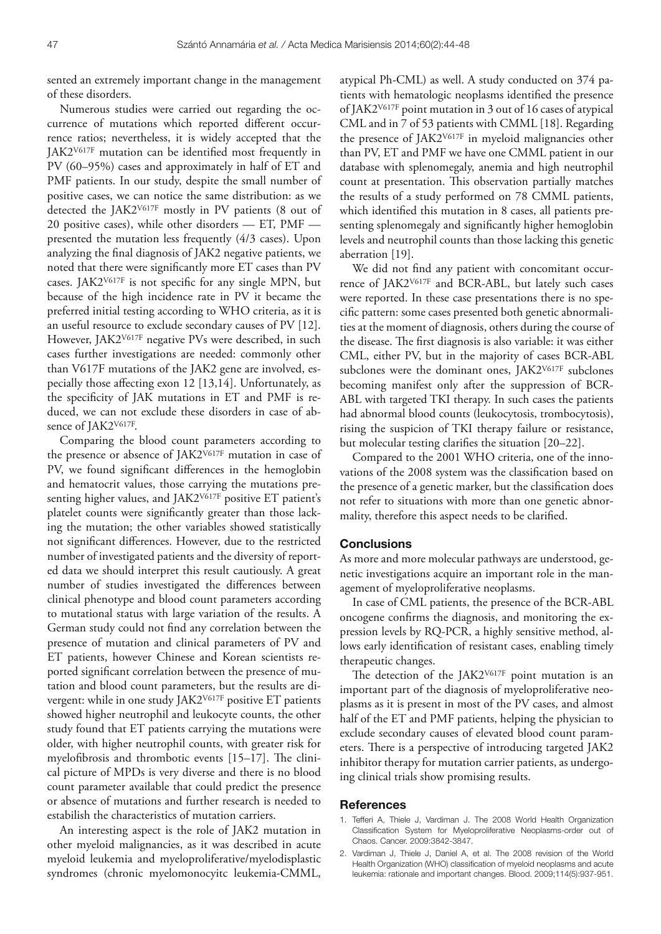sented an extremely important change in the management of these disorders.

Numerous studies were carried out regarding the occurrence of mutations which reported different occurrence ratios; nevertheless, it is widely accepted that the JAK2<sup>V617F</sup> mutation can be identified most frequently in PV (60–95%) cases and approximately in half of ET and PMF patients. In our study, despite the small number of positive cases, we can notice the same distribution: as we detected the JAK2V617F mostly in PV patients (8 out of 20 positive cases), while other disorders — ET, PMF presented the mutation less frequently (4/3 cases). Upon analyzing the final diagnosis of JAK2 negative patients, we noted that there were significantly more ET cases than PV cases. JAK2<sup>V617F</sup> is not specific for any single MPN, but because of the high incidence rate in PV it became the preferred initial testing according to WHO criteria, as it is an useful resource to exclude secondary causes of PV [12]. However, JAK2V617F negative PVs were described, in such cases further investigations are needed: commonly other than V617F mutations of the JAK2 gene are involved, especially those affecting exon  $12$  [13,14]. Unfortunately, as the specificity of JAK mutations in ET and PMF is reduced, we can not exclude these disorders in case of absence of JAK2V617F.

Comparing the blood count parameters according to the presence or absence of JAK2V617F mutation in case of PV, we found significant differences in the hemoglobin and hematocrit values, those carrying the mutations presenting higher values, and JAK2<sup>V617F</sup> positive ET patient's platelet counts were significantly greater than those lacking the mutation; the other variables showed statistically not significant differences. However, due to the restricted number of investigated patients and the diversity of reported data we should interpret this result cautiously. A great number of studies investigated the differences between clinical phenotype and blood count parameters according to mutational status with large variation of the results. A German study could not find any correlation between the presence of mutation and clinical parameters of PV and ET patients, however Chinese and Korean scientists reported significant correlation between the presence of mutation and blood count parameters, but the results are divergent: while in one study JAK2V617F positive ET patients showed higher neutrophil and leukocyte counts, the other study found that ET patients carrying the mutations were older, with higher neutrophil counts, with greater risk for myelofibrosis and thrombotic events  $[15-17]$ . The clinical picture of MPDs is very diverse and there is no blood count parameter available that could predict the presence or absence of mutations and further research is needed to estabilish the characteristics of mutation carriers.

An interesting aspect is the role of JAK2 mutation in other myeloid malignancies, as it was described in acute myeloid leukemia and myeloproliferative/myelodisplastic syndromes (chronic myelomonocyitc leukemia-CMML, atypical Ph-CML) as well. A study conducted on 374 patients with hematologic neoplasms identified the presence of JAK2V617F point mutation in 3 out of 16 cases of atypical CML and in 7 of 53 patients with CMML [18]. Regarding the presence of JAK2V617F in myeloid malignancies other than PV, ET and PMF we have one CMML patient in our database with splenomegaly, anemia and high neutrophil count at presentation. This observation partially matches the results of a study performed on 78 CMML patients, which identified this mutation in 8 cases, all patients presenting splenomegaly and significantly higher hemoglobin levels and neutrophil counts than those lacking this genetic aberration [19].

We did not find any patient with concomitant occurrence of JAK2V617F and BCR-ABL, but lately such cases were reported. In these case presentations there is no specific pattern: some cases presented both genetic abnormalities at the moment of diagnosis, others during the course of the disease. The first diagnosis is also variable: it was either CML, either PV, but in the majority of cases BCR-ABL subclones were the dominant ones, JAK2V617F subclones becoming manifest only after the suppression of BCR-ABL with targeted TKI therapy. In such cases the patients had abnormal blood counts (leukocytosis, trombocytosis), rising the suspicion of TKI therapy failure or resistance, but molecular testing clarifies the situation  $[20-22]$ .

Compared to the 2001 WHO criteria, one of the innovations of the 2008 system was the classification based on the presence of a genetic marker, but the classification does not refer to situations with more than one genetic abnormality, therefore this aspect needs to be clarified.

### **Conclusions**

As more and more molecular pathways are understood, genetic investigations acquire an important role in the management of myeloproliferative neoplasms.

In case of CML patients, the presence of the BCR-ABL oncogene confirms the diagnosis, and monitoring the expression levels by RQ-PCR, a highly sensitive method, allows early identification of resistant cases, enabling timely therapeutic changes.

The detection of the  $IAK2<sup>V617F</sup>$  point mutation is an important part of the diagnosis of myeloproliferative neoplasms as it is present in most of the PV cases, and almost half of the ET and PMF patients, helping the physician to exclude secondary causes of elevated blood count parameters. There is a perspective of introducing targeted JAK2 inhibitor therapy for mutation carrier patients, as undergoing clinical trials show promising results.

#### **References**

- 1. Tefferi A, Thiele J, Vardiman J. The 2008 World Health Organization Classification System for Myeloproliferative Neoplasms-order out of Chaos. Cancer. 2009:3842-3847.
- 2. Vardiman J, Thiele J, Daniel A, et al. The 2008 revision of the World Health Organization (WHO) classification of myeloid neoplasms and acute leukemia: rationale and important changes. Blood. 2009;114(5):937-951.